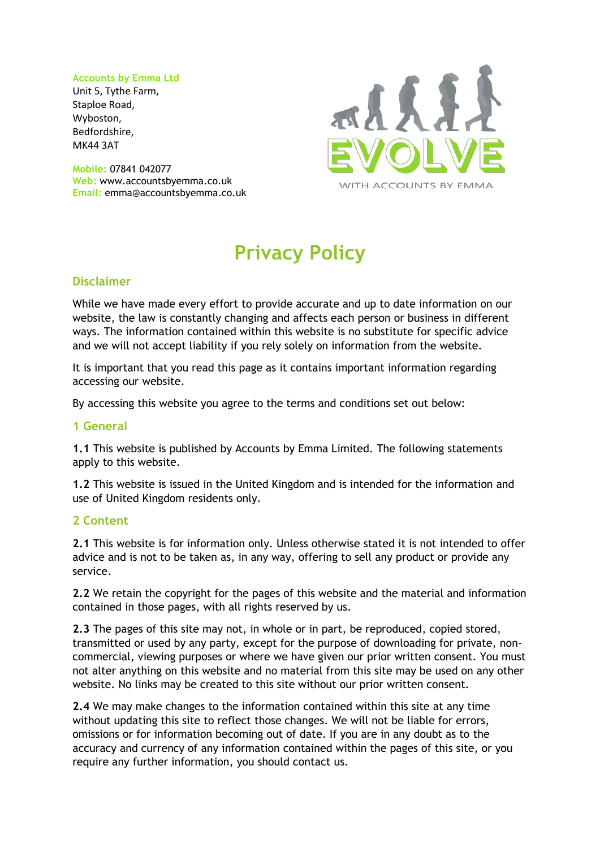#### **Accounts by Emma Ltd**

Unit 5, Tythe Farm, Staploe Road, Wyboston, Bedfordshire, MK44 3AT

**Mobile:** 07841 042077 **Web:** www.accountsbyemma.co.uk **Email:** emma@accountsbyemma.co.uk



# **Privacy Policy**

## **Disclaimer**

While we have made every effort to provide accurate and up to date information on our website, the law is constantly changing and affects each person or business in different ways. The information contained within this website is no substitute for specific advice and we will not accept liability if you rely solely on information from the website.

It is important that you read this page as it contains important information regarding accessing our website.

By accessing this website you agree to the terms and conditions set out below:

#### **1 General**

**1.1** This website is published by Accounts by Emma Limited. The following statements apply to this website.

**1.2** This website is issued in the United Kingdom and is intended for the information and use of United Kingdom residents only.

## **2 Content**

**2.1** This website is for information only. Unless otherwise stated it is not intended to offer advice and is not to be taken as, in any way, offering to sell any product or provide any service.

**2.2** We retain the copyright for the pages of this website and the material and information contained in those pages, with all rights reserved by us.

**2.3** The pages of this site may not, in whole or in part, be reproduced, copied stored, transmitted or used by any party, except for the purpose of downloading for private, noncommercial, viewing purposes or where we have given our prior written consent. You must not alter anything on this website and no material from this site may be used on any other website. No links may be created to this site without our prior written consent.

**2.4** We may make changes to the information contained within this site at any time without updating this site to reflect those changes. We will not be liable for errors, omissions or for information becoming out of date. If you are in any doubt as to the accuracy and currency of any information contained within the pages of this site, or you require any further information, you should contact us.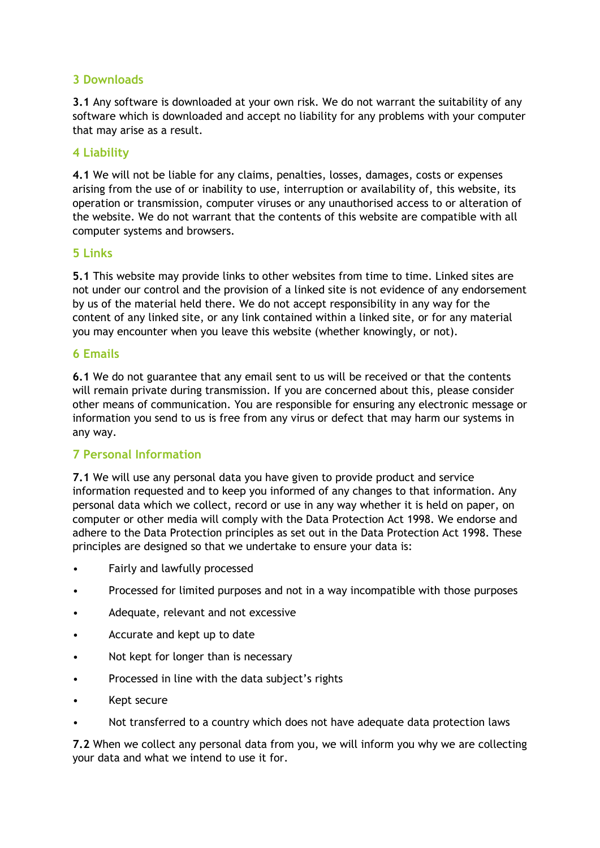## **3 Downloads**

**3.1** Any software is downloaded at your own risk. We do not warrant the suitability of any software which is downloaded and accept no liability for any problems with your computer that may arise as a result.

#### **4 Liability**

**4.1** We will not be liable for any claims, penalties, losses, damages, costs or expenses arising from the use of or inability to use, interruption or availability of, this website, its operation or transmission, computer viruses or any unauthorised access to or alteration of the website. We do not warrant that the contents of this website are compatible with all computer systems and browsers.

#### **5 Links**

**5.1** This website may provide links to other websites from time to time. Linked sites are not under our control and the provision of a linked site is not evidence of any endorsement by us of the material held there. We do not accept responsibility in any way for the content of any linked site, or any link contained within a linked site, or for any material you may encounter when you leave this website (whether knowingly, or not).

#### **6 Emails**

**6.1** We do not guarantee that any email sent to us will be received or that the contents will remain private during transmission. If you are concerned about this, please consider other means of communication. You are responsible for ensuring any electronic message or information you send to us is free from any virus or defect that may harm our systems in any way.

## **7 Personal Information**

**7.1** We will use any personal data you have given to provide product and service information requested and to keep you informed of any changes to that information. Any personal data which we collect, record or use in any way whether it is held on paper, on computer or other media will comply with the Data Protection Act 1998. We endorse and adhere to the Data Protection principles as set out in the Data Protection Act 1998. These principles are designed so that we undertake to ensure your data is:

- Fairly and lawfully processed
- Processed for limited purposes and not in a way incompatible with those purposes
- Adequate, relevant and not excessive
- Accurate and kept up to date
- Not kept for longer than is necessary
- Processed in line with the data subject's rights
- Kept secure
- Not transferred to a country which does not have adequate data protection laws

**7.2** When we collect any personal data from you, we will inform you why we are collecting your data and what we intend to use it for.